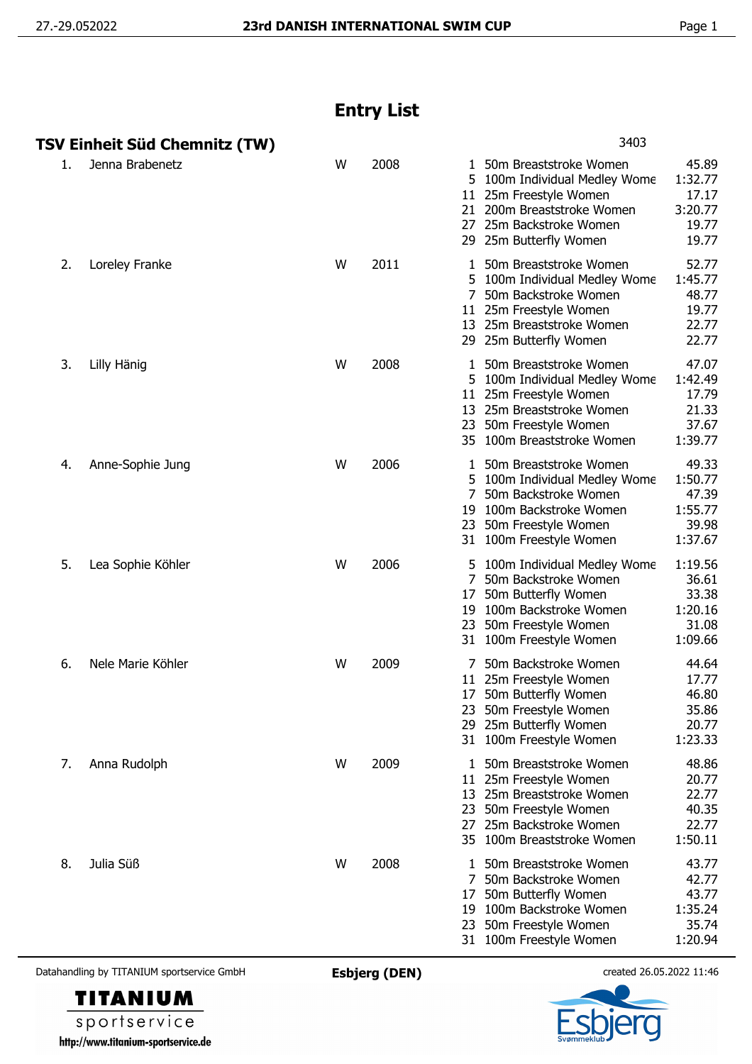## **Entry List**

|    | TSV Einheit Süd Chemnitz (TW) |   |      | 3403                                                                                                                                                                                                                                             |
|----|-------------------------------|---|------|--------------------------------------------------------------------------------------------------------------------------------------------------------------------------------------------------------------------------------------------------|
| 1. | Jenna Brabenetz               | W | 2008 | 45.89<br>1 50m Breaststroke Women<br>1:32.77<br>100m Individual Medley Wome<br>5.<br>17.17<br>11 25m Freestyle Women<br>21 200m Breaststroke Women<br>3:20.77<br>25m Backstroke Women<br>19.77<br>27<br>19.77<br>29 25m Butterfly Women          |
| 2. | Loreley Franke                | W | 2011 | 52.77<br>50m Breaststroke Women<br>1<br>1:45.77<br>5 100m Individual Medley Wome<br>48.77<br>50m Backstroke Women<br>7<br>11 25m Freestyle Women<br>19.77<br>13 25m Breaststroke Women<br>22.77<br>22.77<br>29 25m Butterfly Women               |
| 3. | Lilly Hänig                   | W | 2008 | 47.07<br>50m Breaststroke Women<br>1.<br>1:42.49<br>5 100m Individual Medley Wome<br>17.79<br>11 25m Freestyle Women<br>13 25m Breaststroke Women<br>21.33<br>23 50m Freestyle Women<br>37.67<br>1:39.77<br>35 100m Breaststroke Women           |
| 4. | Anne-Sophie Jung              | W | 2006 | 49.33<br>50m Breaststroke Women<br>1<br>1:50.77<br>5.<br>100m Individual Medley Wome<br>50m Backstroke Women<br>47.39<br>100m Backstroke Women<br>1:55.77<br>19<br>39.98<br>50m Freestyle Women<br>23<br>1:37.67<br>31 100m Freestyle Women      |
| 5. | Lea Sophie Köhler             | W | 2006 | 1:19.56<br>100m Individual Medley Wome<br>50m Backstroke Women<br>36.61<br>7<br>33.38<br>50m Butterfly Women<br>17<br>100m Backstroke Women<br>1:20.16<br>19<br>23 50m Freestyle Women<br>31.08<br>1:09.66<br>31 100m Freestyle Women            |
| 6. | Nele Marie Köhler             | W | 2009 | 50m Backstroke Women<br>44.64<br>25m Freestyle Women<br>17.77<br>11<br>46.80<br>50m Butterfly Women<br>17<br>23 50m Freestyle Women<br>35.86<br>20.77<br>25m Butterfly Women<br>29<br>1:23.33<br>31 100m Freestyle Women                         |
| 7. | Anna Rudolph                  | W | 2009 | 48.86<br>50m Breaststroke Women<br>20.77<br>25m Freestyle Women<br>11<br>13 25m Breaststroke Women<br>22.77<br>23 50m Freestyle Women<br>40.35<br>25m Backstroke Women<br>22.77<br>27<br>1:50.11<br>35 100m Breaststroke Women                   |
| 8. | Julia Süß                     | W | 2008 | 43.77<br>50m Breaststroke Women<br>1<br>42.77<br>$7^{\circ}$<br>50m Backstroke Women<br>43.77<br>50m Butterfly Women<br>17<br>1:35.24<br>100m Backstroke Women<br>19<br>35.74<br>50m Freestyle Women<br>23<br>1:20.94<br>31 100m Freestyle Women |

Datahandling by TITANIUM sportservice GmbH **Esbjerg (DEN)** created 26.05.2022 11:46